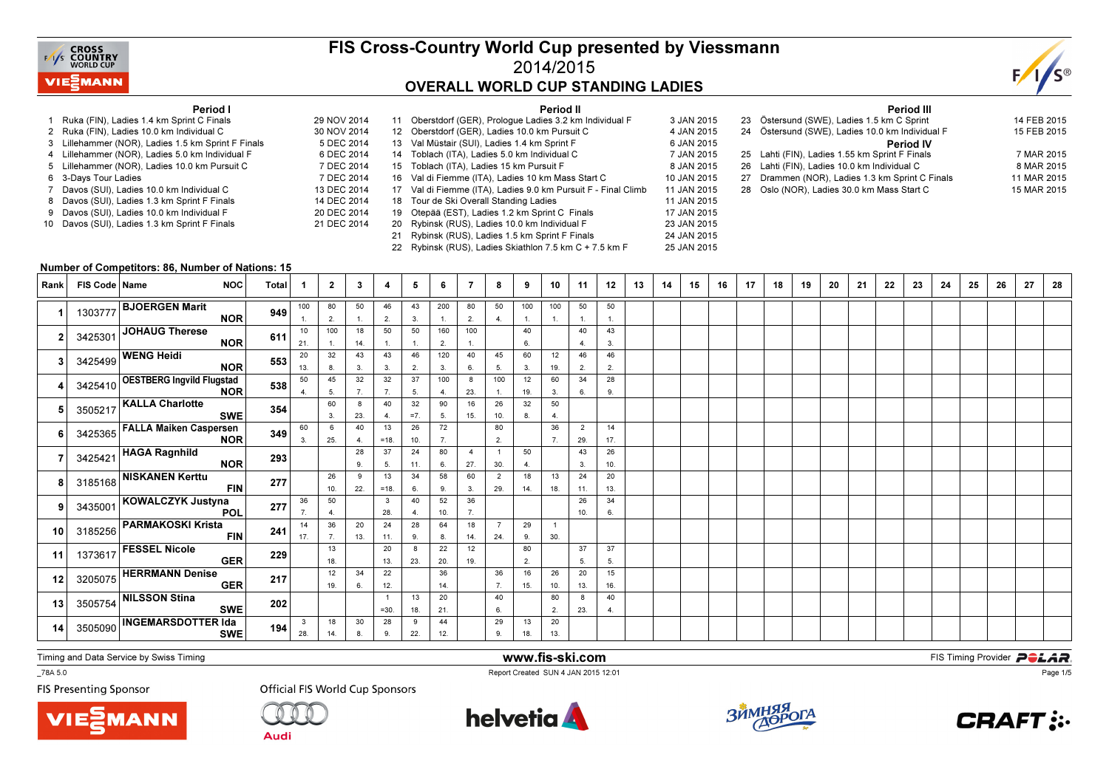

### FIS Cross-Country World Cup presented by Viessmann2014/2015OVERALL WORLD CUP STANDING LADIES

25 JAN 2015



#### Period I

- 1 Ruka (FIN), Ladies 1.4 km Sprint C Finals 29 NOV 20142 Ruka (FIN), Ladies 10.0 km Individual C
- 3 Lillehammer (NOR), Ladies 1.5 km Sprint F Finals
- 4 Lillehammer (NOR), Ladies 5.0 km Individual F
- 5 Lillehammer (NOR), Ladies 10.0 km Pursuit C
- s 7 DEC 2014 6 3-Days Tour Ladies
- 7 Davos (SUI), Ladies 10.0 km Individual C
- 8 Davos (SUI), Ladies 1.3 km Sprint F Finals
- 9 Davos (SUI), Ladies 10.0 km Individual F 10 Davos (SUI), Ladies 1.3 km Sprint F Finals

|             |    | Period II                                                     |             |
|-------------|----|---------------------------------------------------------------|-------------|
| 29 NOV 2014 |    | 11 Oberstdorf (GER), Prologue Ladies 3.2 km Individual F      | 3 JAN 2015  |
| 30 NOV 2014 |    | 12 Oberstdorf (GER), Ladies 10.0 km Pursuit C                 | 4 JAN 2015  |
| 5 DEC 2014  |    | 13 Val Müstair (SUI), Ladies 1.4 km Sprint F                  | 6 JAN 2015  |
| 6 DEC 2014  |    | 14 Toblach (ITA), Ladies 5.0 km Individual C                  | 7 JAN 2015  |
| 7 DEC 2014  |    | 15 Toblach (ITA), Ladies 15 km Pursuit F                      | 8 JAN 2015  |
| 7 DEC 2014  |    | 16 Val di Fiemme (ITA), Ladies 10 km Mass Start C             | 10 JAN 2015 |
| 13 DEC 2014 |    | 17 Val di Fiemme (ITA), Ladies 9.0 km Pursuit F - Final Climb | 11 JAN 2015 |
| 14 DEC 2014 |    | 18 Tour de Ski Overall Standing Ladies                        | 11 JAN 2015 |
| 20 DEC 2014 | 19 | Otepää (EST), Ladies 1.2 km Sprint C Finals                   | 17 JAN 2015 |
| 21 DEC 2014 |    | 20 Rybinsk (RUS), Ladies 10.0 km Individual F                 | 23 JAN 2015 |
|             | 21 | Rybinsk (RUS), Ladies 1.5 km Sprint F Finals                  | 24 JAN 2015 |
|             |    |                                                               |             |

22 Rybinsk (RUS), Ladies Skiathlon 7.5 km C + 7.5 km F

|    | <b>Period III</b>                               |             |  |  |  |  |  |  |  |  |  |  |  |
|----|-------------------------------------------------|-------------|--|--|--|--|--|--|--|--|--|--|--|
|    | 23 Östersund (SWE), Ladies 1.5 km C Sprint      | 14 FEB 2015 |  |  |  |  |  |  |  |  |  |  |  |
|    | 24 Östersund (SWE), Ladies 10.0 km Individual F | 15 FEB 2015 |  |  |  |  |  |  |  |  |  |  |  |
|    | <b>Period IV</b>                                |             |  |  |  |  |  |  |  |  |  |  |  |
|    | 25 Lahti (FIN), Ladies 1.55 km Sprint F Finals  | 7 MAR 2015  |  |  |  |  |  |  |  |  |  |  |  |
|    | 26 Lahti (FIN), Ladies 10.0 km Individual C     | 8 MAR 2015  |  |  |  |  |  |  |  |  |  |  |  |
| 27 | Drammen (NOR), Ladies 1.3 km Sprint C Finals    | 11 MAR 2015 |  |  |  |  |  |  |  |  |  |  |  |
| 28 | Oslo (NOR), Ladies 30.0 km Mass Start C         | 15 MAR 2015 |  |  |  |  |  |  |  |  |  |  |  |

#### Number of Competitors: 86, Number of Nations: 15

| Rank | FIS Code   Name | <b>NOC</b>                                      | <b>Total</b> |                      | $\mathbf{2}$         | 3         | 4                      | 5           | 6         | 7                     | 8                     | 9                  | 10                    | 11                    | 12                   | 13 | 14 | 15 | 16 | 17 | 18 | 19 | 20 | 21 | 22 | 23 | 24 | 25 | 26 | 27 | 28 |
|------|-----------------|-------------------------------------------------|--------------|----------------------|----------------------|-----------|------------------------|-------------|-----------|-----------------------|-----------------------|--------------------|-----------------------|-----------------------|----------------------|----|----|----|----|----|----|----|----|----|----|----|----|----|----|----|----|
|      | 1303777         | <b>BJOERGEN Marit</b><br><b>NOR</b>             | 949          | 100                  | 80<br>2.             | 50<br>1.  | 46<br>2.               | 43<br>3.    | 200<br>1. | 80<br>2.              | 50<br>4.              | 100<br>1.          | 100<br>1.             | 50<br>1.              | 50<br>1.             |    |    |    |    |    |    |    |    |    |    |    |    |    |    |    |    |
|      | 3425301         | JOHAUG Therese<br><b>NOR</b>                    | 611          | 10<br>21.            | 100                  | 18<br>14. | 50<br>1.               | 50<br>1.    | 160<br>2. | 100<br>1.             |                       | 40<br>6.           |                       | 40<br>4.              | 43<br>3.             |    |    |    |    |    |    |    |    |    |    |    |    |    |    |    |    |
|      |                 | 3425499 WENG Heidi<br><b>NOR</b>                | 553          | 20<br>13.            | 32<br>8.             | 43<br>3.  | 43<br>3.               | 46<br>2.    | 120<br>3. | 40<br>6.              | 45<br>5.              | 60<br>3.           | 12<br>19.             | 46<br>2.              | 46<br>2.             |    |    |    |    |    |    |    |    |    |    |    |    |    |    |    |    |
|      |                 | 3425410 OESTBERG Ingvild Flugstad<br><b>NOR</b> | 538          | 50<br>$\overline{4}$ | 45<br>5.             | 32<br>7.  | 32<br>7.               | 37<br>5.    | 100<br>4. | 8<br>23.              | 100<br>1.             | 12<br>19.          | 60<br>3.              | 34<br>6.              | 28<br>9.             |    |    |    |    |    |    |    |    |    |    |    |    |    |    |    |    |
|      | 3505217         | <b>KALLA Charlotte</b><br><b>SWE</b>            | 354          |                      | 60<br>3.             | 8<br>23.  | 40<br>4.               | 32<br>$=7.$ | 90<br>5.  | 16<br>15.             | 26<br>10.             | 32<br>8.           | 50<br>4.              |                       |                      |    |    |    |    |    |    |    |    |    |    |    |    |    |    |    |    |
|      |                 | 3425365 FALLA Maiken Caspersen<br><b>NOR</b>    | 349          | 60<br>3.             | 6<br>25.             | 40<br>4.  | 13<br>$=18.$           | 26<br>10.   | 72<br>7.  |                       | 80<br>2.              |                    | 36<br>7.              | $\overline{2}$<br>29. | 14<br>17.            |    |    |    |    |    |    |    |    |    |    |    |    |    |    |    |    |
|      |                 | 3425421 HAGA Ragnhild<br><b>NOR</b>             | 293          |                      |                      | 28<br>9.  | 37<br>5.               | 24<br>11.   | 80<br>6.  | $\overline{4}$<br>27. | 30.                   | 50<br>$\mathbf{4}$ |                       | 43<br>3.              | 26<br>10.            |    |    |    |    |    |    |    |    |    |    |    |    |    |    |    |    |
|      |                 | 3185168 NISKANEN Kerttu<br><b>FIN</b>           | 277          |                      | 26<br>10.            | 9<br>22.  | 13<br>$=18.$           | 34<br>6.    | 58<br>9.  | 60<br>3.              | $\overline{2}$<br>29. | 18<br>14.          | 13<br>18.             | 24<br>11.             | 20<br>13.            |    |    |    |    |    |    |    |    |    |    |    |    |    |    |    |    |
|      |                 | 3435001 KOWALCZYK Justyna<br><b>POL</b>         | 277          | 36                   | 50<br>$\overline{4}$ |           | 3<br>28.               | 40<br>4.    | 52<br>10. | 36<br>7.              |                       |                    |                       | 26<br>10.             | 34<br>6.             |    |    |    |    |    |    |    |    |    |    |    |    |    |    |    |    |
| 10   | 3185256         | <b>PARMAKOSKI Krista</b><br><b>FIN</b>          | 241          | 14<br>17.            | 36<br>7.             | 20<br>13. | 24<br>11.              | 28<br>9.    | 64<br>8.  | 18<br>14.             | $\overline{7}$<br>24. | 29<br>9.           | $\overline{1}$<br>30. |                       |                      |    |    |    |    |    |    |    |    |    |    |    |    |    |    |    |    |
| 11   | 1373617         | <b>FESSEL Nicole</b><br><b>GER</b>              | 229          |                      | 13<br>18.            |           | 20<br>13.              | 8<br>23.    | 22<br>20. | 12<br>19.             |                       | 80<br>2.           |                       | 37<br>5.              | 37<br>5.             |    |    |    |    |    |    |    |    |    |    |    |    |    |    |    |    |
| 12   |                 | 3205075 HERRMANN Denise<br><b>GER</b>           | 217          |                      | 12<br>19.            | 34<br>6.  | 22<br>12.              |             | 36<br>14. |                       | 36<br>7.              | 16<br>15.          | 26<br>10.             | 20<br>13.             | 15<br>16.            |    |    |    |    |    |    |    |    |    |    |    |    |    |    |    |    |
| 13   |                 | 3505754 NILSSON Stina<br><b>SWE</b>             | 202          |                      |                      |           | $\mathbf{1}$<br>$=30.$ | 13<br>18.   | 20<br>21. |                       | 40<br>6.              |                    | 80<br>2.              | 8<br>23.              | 40<br>$\overline{4}$ |    |    |    |    |    |    |    |    |    |    |    |    |    |    |    |    |
| 14   | 3505090         | <b>INGEMARSDOTTER Ida</b><br><b>SWE</b>         | 194          | 3<br>28.             | 18<br>14.            | 30<br>8.  | 28<br>9.               | 9<br>22.    | 44<br>12. |                       | 29<br>9.              | 13<br>18.          | 20<br>13.             |                       |                      |    |    |    |    |    |    |    |    |    |    |    |    |    |    |    |    |

Timing and Data Service by Swiss Timing

\_78A 5.0

**FIS Presenting Sponsor** 

VIEZMANN



**Audi** 



www.fis-ski.com

Report Created SUN 4 JAN 2015 12:01



**m**<br>FIS Timing Provider<br>F<sup>12:01</sup>



Page 1/5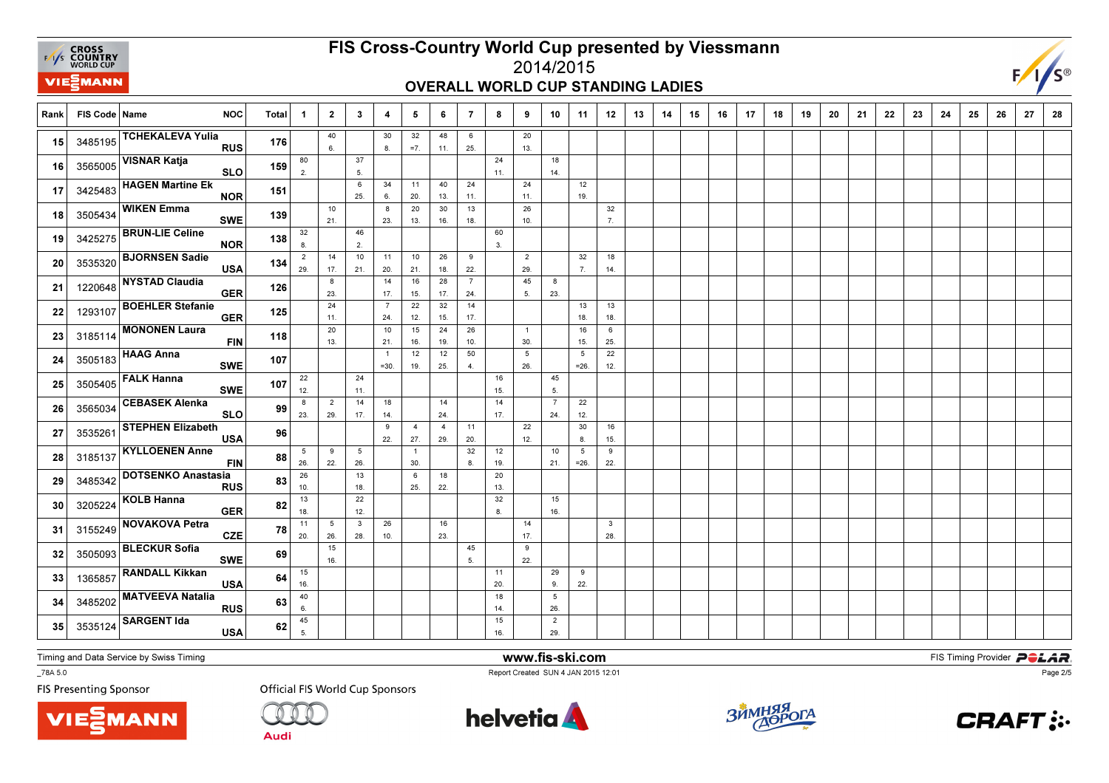**EXAMPLE CROSS**<br>
FAYS **COUNTRY**<br>
WORLD CUP **VIE***MANN* 

# FIS Cross-Country World Cup presented by Viessmann

#### 2014/2015OVERALL WORLD CUP STANDING LADIES



| Rank | FIS Code   Name | <b>NOC</b>                              | <b>Total</b> | -1                    | $\mathbf{2}$          | $\mathbf{3}$           | 4                         | 5                     | 6                     | 7                     | 8         | 9                     | 10                    | 11                        | 12                   | 13 | 14 | 15 | 16 | 17 | 18 | 19 | 20 | 21 | 22 | 23 | 24 | 25 | 26 | 27 | 28 |
|------|-----------------|-----------------------------------------|--------------|-----------------------|-----------------------|------------------------|---------------------------|-----------------------|-----------------------|-----------------------|-----------|-----------------------|-----------------------|---------------------------|----------------------|----|----|----|----|----|----|----|----|----|----|----|----|----|----|----|----|
| 15   | 3485195         | <b>TCHEKALEVA Yulia</b><br><b>RUS</b>   | 176          |                       | 40<br>6.              |                        | 30<br>8.                  | 32<br>$=7.$           | 48<br>11.             | 6<br>25.              |           | 20<br>13.             |                       |                           |                      |    |    |    |    |    |    |    |    |    |    |    |    |    |    |    |    |
| 16   | 3565005         | <b>VISNAR Katja</b><br><b>SLO</b>       | 159          | 80<br>2.              |                       | 37<br>5.               |                           |                       |                       |                       | 24<br>11. |                       | 18<br>14.             |                           |                      |    |    |    |    |    |    |    |    |    |    |    |    |    |    |    |    |
| 17   | 3425483         | <b>HAGEN Martine Ek</b><br><b>NOR</b>   | 151          |                       |                       | 6<br>25.               | 34<br>6.                  | 11<br>20.             | 40<br>13.             | 24<br>11.             |           | 24<br>11.             |                       | 12<br>19.                 |                      |    |    |    |    |    |    |    |    |    |    |    |    |    |    |    |    |
| 18   | 3505434         | <b>WIKEN Emma</b><br><b>SWE</b>         | 139          |                       | 10<br>21.             |                        | 8<br>23.                  | 20<br>13.             | 30<br>16.             | 13<br>18.             |           | 26<br>10.             |                       |                           | 32<br>$\overline{7}$ |    |    |    |    |    |    |    |    |    |    |    |    |    |    |    |    |
| 19   | 3425275         | <b>BRUN-LIE Celine</b><br><b>NOR</b>    | 138          | 32<br>8.              |                       | 46<br>2.               |                           |                       |                       |                       | 60<br>3.  |                       |                       |                           |                      |    |    |    |    |    |    |    |    |    |    |    |    |    |    |    |    |
| 20   | 3535320         | <b>BJORNSEN Sadie</b><br><b>USA</b>     | 134          | $\overline{2}$<br>29. | 14<br>17.             | 10<br>21.              | 11<br>20.                 | 10<br>21.             | 26<br>18.             | 9<br>22.              |           | $\overline{2}$<br>29. |                       | 32<br>7.                  | 18<br>14.            |    |    |    |    |    |    |    |    |    |    |    |    |    |    |    |    |
| 21   | 1220648         | <b>NYSTAD Claudia</b><br><b>GER</b>     | 126          |                       | 8<br>23.              |                        | 14<br>17.                 | 16<br>15.             | 28<br>17.             | $\overline{7}$<br>24. |           | 45<br>5.              | 8<br>23.              |                           |                      |    |    |    |    |    |    |    |    |    |    |    |    |    |    |    |    |
| 22   | 1293107         | <b>BOEHLER Stefanie</b><br><b>GER</b>   | 125          |                       | 24<br>11.             |                        | $\overline{7}$<br>24.     | 22<br>12.             | $32\,$<br>15.         | 14<br>17.             |           |                       |                       | 13<br>18.                 | 13<br>18.            |    |    |    |    |    |    |    |    |    |    |    |    |    |    |    |    |
| 23   | 3185114         | <b>MONONEN Laura</b><br><b>FIN</b>      | 118          |                       | 20<br>13.             |                        | 10<br>21.                 | 15<br>16.             | 24<br>19.             | 26<br>10.             |           | $\overline{1}$<br>30. |                       | 16<br>15.                 | 6<br>25.             |    |    |    |    |    |    |    |    |    |    |    |    |    |    |    |    |
| 24   | 3505183         | <b>HAAG Anna</b><br><b>SWE</b>          | 107          |                       |                       |                        | $\overline{1}$<br>$= 30.$ | 12<br>19.             | 12<br>25.             | 50<br>$\overline{4}$  |           | 5<br>26.              |                       | $5\overline{5}$<br>$=26.$ | 22<br>12.            |    |    |    |    |    |    |    |    |    |    |    |    |    |    |    |    |
| 25   | 3505405         | <b>FALK Hanna</b><br><b>SWE</b>         | 107          | 22<br>12.             |                       | 24<br>11.              |                           |                       |                       |                       | 16<br>15. |                       | 45<br>5.              |                           |                      |    |    |    |    |    |    |    |    |    |    |    |    |    |    |    |    |
| 26   | 3565034         | <b>CEBASEK Alenka</b><br><b>SLO</b>     | 99           | 8<br>23.              | $\overline{2}$<br>29. | 14<br>17.              | 18<br>14.                 |                       | 14<br>24.             |                       | 14<br>17. |                       | $\overline{7}$<br>24. | 22<br>12.                 |                      |    |    |    |    |    |    |    |    |    |    |    |    |    |    |    |    |
| 27   | 3535261         | <b>STEPHEN Elizabeth</b><br><b>USA</b>  | 96           |                       |                       |                        | 9<br>22.                  | $\overline{4}$<br>27. | $\overline{4}$<br>29. | 11<br>20.             |           | 22<br>12.             |                       | 30<br>8.                  | 16<br>15.            |    |    |    |    |    |    |    |    |    |    |    |    |    |    |    |    |
| 28   | 3185137         | <b>KYLLOENEN Anne</b><br><b>FIN</b>     | 88           | 5<br>26.              | 9<br>22.              | $5\phantom{.0}$<br>26. |                           | $\overline{1}$<br>30. |                       | 32<br>8.              | 12<br>19. |                       | 10<br>21.             | $5\phantom{.0}$<br>$=26.$ | 9<br>22.             |    |    |    |    |    |    |    |    |    |    |    |    |    |    |    |    |
| 29   | 3485342         | <b>DOTSENKO Anastasia</b><br><b>RUS</b> | 83           | 26<br>10.             |                       | 13<br>18.              |                           | 6<br>25.              | 18<br>22.             |                       | 20<br>13. |                       |                       |                           |                      |    |    |    |    |    |    |    |    |    |    |    |    |    |    |    |    |
| 30   | 3205224         | <b>KOLB Hanna</b><br><b>GER</b>         | 82           | 13<br>18.             |                       | 22<br>12.              |                           |                       |                       |                       | 32<br>8.  |                       | 15<br>16.             |                           |                      |    |    |    |    |    |    |    |    |    |    |    |    |    |    |    |    |
| 31   | 3155249         | <b>NOVAKOVA Petra</b><br><b>CZE</b>     | 78           | 11<br>20.             | 5<br>26.              | $\mathbf{3}$<br>28.    | 26<br>10.                 |                       | 16<br>23.             |                       |           | 14<br>17.             |                       |                           | $\mathbf{3}$<br>28.  |    |    |    |    |    |    |    |    |    |    |    |    |    |    |    |    |
| 32   | 3505093         | <b>BLECKUR Sofia</b><br><b>SWE</b>      | 69           |                       | 15<br>16.             |                        |                           |                       |                       | 45<br>5.              |           | 9<br>22.              |                       |                           |                      |    |    |    |    |    |    |    |    |    |    |    |    |    |    |    |    |
| 33   | 1365857         | <b>RANDALL Kikkan</b><br><b>USA</b>     | 64           | 15<br>16.             |                       |                        |                           |                       |                       |                       | 11<br>20. |                       | 29<br>9.              | 9<br>22.                  |                      |    |    |    |    |    |    |    |    |    |    |    |    |    |    |    |    |
| 34   | 3485202         | <b>MATVEEVA Natalia</b><br><b>RUS</b>   | 63           | 40<br>6.              |                       |                        |                           |                       |                       |                       | 18<br>14. |                       | 5<br>26.              |                           |                      |    |    |    |    |    |    |    |    |    |    |    |    |    |    |    |    |
| 35   | 3535124         | <b>SARGENT Ida</b><br><b>USA</b>        | 62           | 45<br>5.              |                       |                        |                           |                       |                       |                       | 15<br>16. |                       | $\overline{2}$<br>29. |                           |                      |    |    |    |    |    |    |    |    |    |    |    |    |    |    |    |    |

Timing and Data Service by Swiss Timing

VIEZMANN

\_78A 5.0

**FIS Presenting Sponsor** 

**Official FIS World Cup Sponsors** 

**Audi** 



www.fis-ski.com

Report Created SUN 4 JAN 2015 12:01



**m**<br>FIS Timing Provider<br>F<sup>12:01</sup>



Page 2/5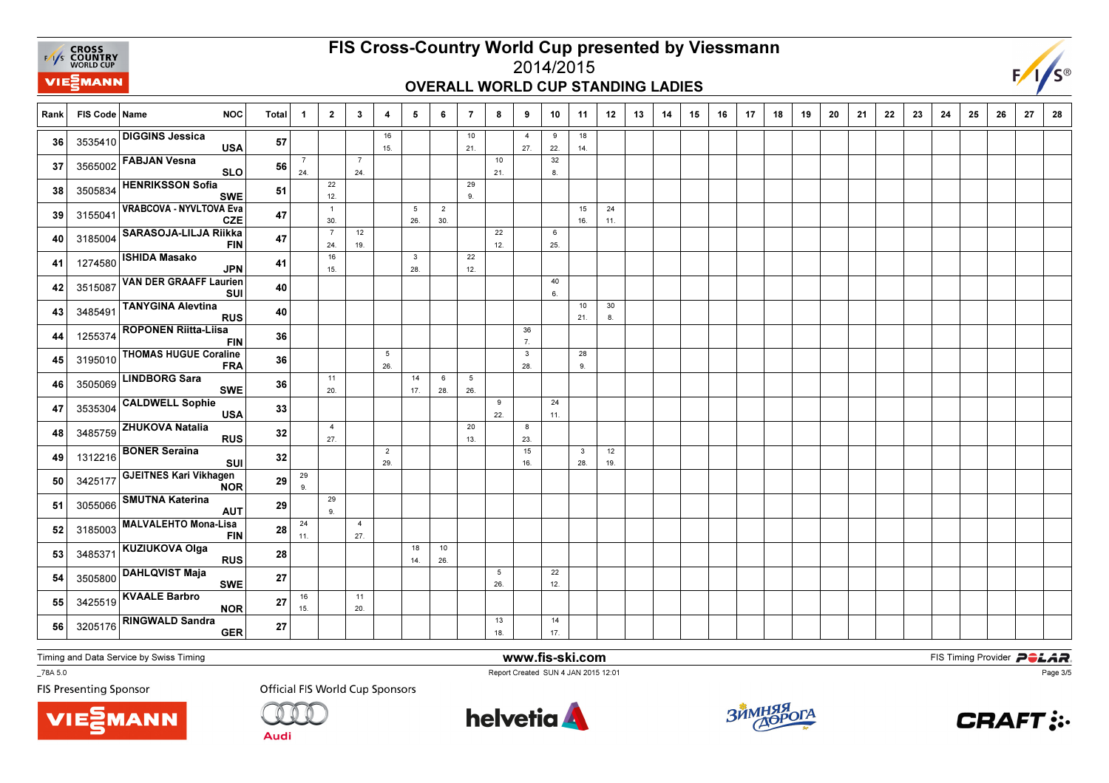

## FIS Cross-Country World Cup presented by Viessmann

#### 2014/2015OVERALL WORLD CUP STANDING LADIES



Rank FIS Code Name NOC Total 1 1 2 | 3 | 4 | 5 | 6 | 7 | 8 | 9 | 10 | 11 | 12 | 13 | 14 | 15 | 16 | 17 | 18 | 19 9 | 20 | 21 | 22 | 23 | 24 | 25 | 26 | 27 | 28 16 15.10 21.4 27.9 22.18 $14.$ 36 3535410  $\sim$  36  $\sim$  3535410  $\sim$  36  $\sim$  36  $\sim$  36  $\sim$  36  $\sim$  36  $\sim$  36  $\sim$  36  $\sim$  36  $\sim$  37  $\sim$  37  $\sim$  37  $\sim$  37  $\sim$  37  $\sim$  37  $\sim$  37  $\sim$  37  $\sim$  37  $\sim$  37  $\sim$  37  $\sim$  37  $\sim$  37  $\sim$  37  $\sim$  37  $\sim$  36 3535410 DIGGINS Jessica<br>USA  $\overline{A}$  57 7 24.7 24.10 21.32 $8.$ 8.<sup>37</sup> $37 \overline{\smash{\big)}\ 3565002}$  FABJAN Vesna <sup>56</sup> 22 12.29 $9<sub>1</sub>$ 9.<sup>38</sup>38 3505834 HENRIKSSON Sofia SWE  $\mathsf{E}\Big|\begin{array}{c} \mathsf{51} \ \mathsf{.} \end{array}$  $\overline{1}$  30.5 26.2 30.15 16.24 $11.$ 39 3155041  $\begin{vmatrix} 1 & 1 & 1 & 1 \\ 1 & 1 & 1 & 1 \\ 1 & 1 & 1 & 1 \end{vmatrix}$   $\begin{vmatrix} 47 & 1 & 1 & 1 \\ 1 & 1 & 1 & 1 \\ 1 & 1 & 1 & 1 \end{vmatrix}$   $\begin{vmatrix} 1 & 1 & 1 & 1 \\ 1 & 1 & 1 & 1 \\ 1 & 1 & 1 & 1 \end{vmatrix}$ 39 3155041 VRABCOVA - NYVLTOVA Eva  $\begin{array}{c|c} \n\varepsilon & 47 \n\end{array}$ 7 24.12 19.22 12.6 $25.$ 25.<sup>40</sup> <sup>3185004</sup> SARASOJA-LILJA Riikka FIN $\overline{N}$  47 16 15.3 28. $\overline{22}$  12. 41 <sup>1274580</sup> ISHIDA Masako JPN $\overline{N}$  41 40 6. 42 <sup>3515087</sup> VAN DER GRAAFF Laurien SUI <sup>40</sup> 10 21.30 $8.$ 43 3485491  $\left| \frac{1}{21} \right|$   $\left| \frac{1}{21} \right|$   $\left| \frac{1}{21} \right|$   $\left| \frac{1}{21} \right|$   $\left| \frac{1}{21} \right|$   $\left| \frac{1}{21} \right|$ 43 348549 TANYGINA Alevtina RUS <sup>40</sup> 36 7. 441255374 ROPONEN Riitta-Liisa<br>FIN <sup>36</sup> 5 26.3 28.28 $9.$ 9.<sup>45</sup>45 3195010 THOMAS HUGUE Coraline FRA $\mathsf{A}$  36 11 20.14 17.6 28.526. 26.<sup>46</sup>46 3505069 LINDBORG Sara SWE <sup>36</sup> 9 22.24 11. 47 <sup>3535304</sup> CALDWELL Sophie USA $\overline{A}$  33 4 27.20 13.8 $23.$ 23.<sup>48</sup> <sup>3485759</sup> ZHUKOVA Natalia RUS $\overline{\text{s}}$   $\overline{\text{s}}$   $\overline{\text{s}}$ 2 29.15 16.3 28.1219. **49** 1312216  $\begin{bmatrix} 20.12 & 36 \\ 20.12 & 16 \end{bmatrix}$  **52**  $\begin{bmatrix} 32 \\ 1 \end{bmatrix}$   $\begin{bmatrix} 1 \\ 29 \end{bmatrix}$   $\begin{bmatrix} 1 \\ 1 \end{bmatrix}$   $\begin{bmatrix} 16 \\ 16 \end{bmatrix}$   $\begin{bmatrix} 28 \\ 28 \end{bmatrix}$  19 49 1312216 BONER Seraina<br>SUI <sup>32</sup> 299. 9.<sup>50</sup>50 3425177 GJEITNES Kari Vikhagen R  $^{29}$ 29 $9<sub>1</sub>$ 9.<sup>51</sup>51 3055066 SMUTNA Katerina <sup>29</sup> 24 11.427. 27.<sup>52</sup>52 3185003 MALVALEHTO Mona-Lisa  $\frac{28}{1}$ 18 14.1026. 26.<sup>53</sup>53 3485371 KUZIUKOVA Olga <sup>28</sup> 5 26.22 $12.$ 12.<sup>54</sup>54 3505800 DAHLQVIST Maja<br>SWE  $E$  27 16 15.11 $20.$ 20.<sup>55</sup>55 3425519 KVAALE Barbro NOR  $\frac{27}{27}$ 13 18.14 $17.$ **56** 3205176  $\begin{bmatrix} 3205176 & -3205176 \\ -111 & 1200 \\ 0 & 0 & 0 \end{bmatrix}$  <sup>3205176</sup> RINGWALD Sandra GERR  $\overline{R}$  27

Timing and Data Service by Swiss Timing

\_78A 5.0

**FIS Presenting Sponsor** 





Audi

**Official FIS World Cup Sponsors** 

**helvetia** 

www.fis-ski.com

Report Created SUN 4 JAN 2015 12:01



**m**<br>FIS Timing Provider<br>F<sup>12:01</sup>



Page 3/5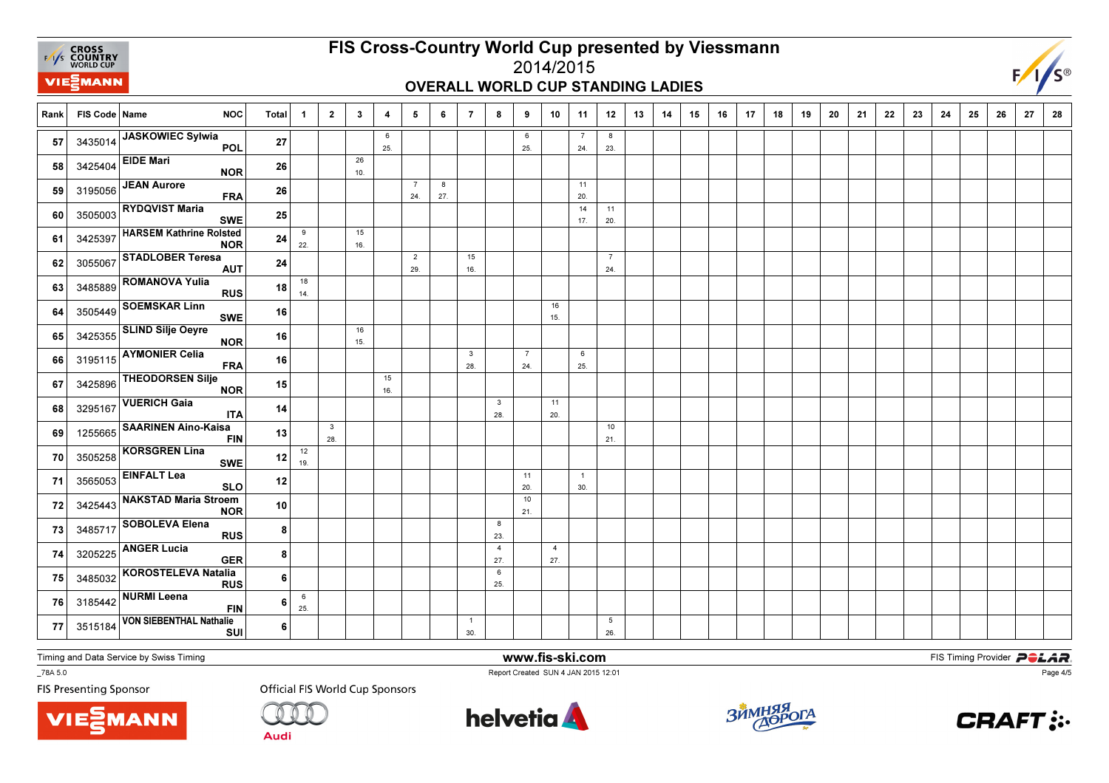

#### FIS Cross-Country World Cup presented by Viessmann2014/2015

### OVERALL WORLD CUP STANDING LADIES



Rank FIS Code Name NOC Total 1 1 2 | 3 | 4 | 5 | 6 | 7 | 8 | 9 | 10 | 11 | 12 | 13 | 14 | 15 | 16 | 17 | 18 | 19 9 | 20 | 21 | 22 | 23 | 24 | 25 | 26 | 27 | 28 6 25.6 25.7 24.823. 23.<sup>57</sup>57 3435014 JASKOWIEC Sylwia<br>POL <sup>27</sup> 26 $10<sub>1</sub>$ 10.<sup>58</sup>**58** 3425404 EIDE Mari NOR <sup>26</sup> 7 24.8 27.11 $20.$ 20.<sup>59</sup>**59** 3195056 JEAN Aurore  $\overline{A}$  26 14 17.1120. 60 3505003  $\sim$  20.000  $\sim$  20.000  $\sim$  20.000  $\sim$  20.000  $\sim$  20.000  $\sim$  20.000  $\sim$  20.000  $\sim$  20.000  $\sim$  20.000  $\sim$  20.000  $\sim$  20.000  $\sim$  20.000  $\sim$  20.000  $\sim$  20.000  $\sim$  20.000  $\sim$  20.000  $\sim$  20.000  $\sim$  2 <sup>3505003</sup> RYDQVIST Maria SWE <sup>25</sup>  $_{9}$  22.15 $16.$ 16.<sup>61</sup>**61** 3425397 HARSEM Kathrine Rolsted <sup>24</sup>  $\overline{2}$  29.15 16. $\overline{7}$  $24.$ 24.<sup>62</sup>62 3055067 STADLOBER Teresa<br>AUT <sup>24</sup> 18 $14.$ 63 3485889 **18** RUS 18 14 <sup>3485889</sup> ROMANOVA Yulia RUS $\frac{\mathsf{s}}{\mathsf{I}}$   $\frac{18}{\mathsf{I}}$ 16 $15.$ 15.<sup>64</sup>64 3505449 SOEMSKAR Linn<br>SWE <sup>16</sup> 16 $15.$ 15.<sup>65</sup>65 3425355 SLIND Silje Oeyre <sup>16</sup> 3 28.7 24.625. 25.<sup>66</sup>66 3195115 AYMONIER Celia<br>FRA <u>A 16</u> 1516. 16.<sup>67</sup>67 3425896 THEODORSEN Silje <sup>15</sup> 3 28.1120. 68 3295167  $\begin{vmatrix} 28.6 \end{vmatrix}$   $\begin{vmatrix} 28.6 \end{vmatrix}$   $\begin{vmatrix} 28.6 \end{vmatrix}$   $\begin{vmatrix} 28.6 \end{vmatrix}$   $\begin{vmatrix} 28.6 \end{vmatrix}$   $\begin{vmatrix} 28.6 \end{vmatrix}$   $\begin{vmatrix} 28.6 \end{vmatrix}$ 68 3295167 VUERICH Gaia<br>ITA  $\overline{A}$  14 3 28.10 $21.$ 21.<sup>69</sup>69 1255665 SAARINEN Aino-Kaisa <sup>13</sup> 1219. 19.<sup>70</sup> <sup>3505258</sup> KORSGREN Lina SWE <sup>12</sup> 11 20. 101 30. 71 <sup>3565053</sup> EINFALT Lea SLO $\frac{12}{1}$  21. 723425443 NAKSTAD Maria Stroem <sup>10</sup> 823 23.<sup>73</sup>73 3485717 SOBOLEVA Elena 84 27.4 27. 74 <sup>3205225</sup> ANGER Lucia GER $\bm{p}$  KOROSTELEVA Natalia RUS 8625. 25.<sup>75</sup>75 3485032 6625. 76 3185442  $\begin{vmatrix} 3 & 3 & 6 \end{vmatrix}$   $\begin{vmatrix} 25 & 6 \end{vmatrix}$   $\begin{vmatrix} 25 & 6 \end{vmatrix}$  $\begin{array}{|c|c|c|}\n\hline\n\text{3185442} & \text{NURMI} & \text{Lepra} \\
\hline\n\end{array}$ 6 $\overline{1}$  30.5 26. 77 <sup>3515184</sup>VON SIEBENTHAL Nathalie<br>SUI 6

Timing and Data Service by Swiss Timing

**VIE***MANN* 

\_78A 5.0

**FIS Presenting Sponsor** 



Audi



www.fis-ski.com

Report Created SUN 4 JAN 2015 12:01



**m**<br>FIS Timing Provider<br>F<sup>12:01</sup>



Page 4/5